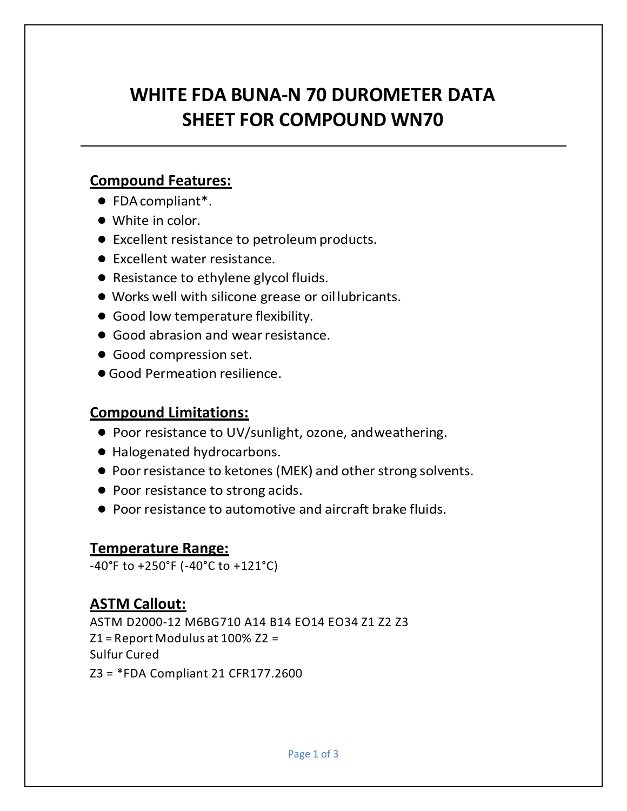# **WHITE FDA BUNA-N 70 DUROMETER DATA SHEET FOR COMPOUND WN70**

### **Compound Features:**

- FDAcompliant\*.
- White in color.
- Excellent resistance to petroleumproducts.
- Excellent water resistance.
- Resistance to ethylene glycol fluids.
- Works well with silicone grease or oillubricants.
- Good low temperature flexibility.
- Good abrasion and wear resistance.
- Good compression set.
- ●Good Permeation resilience.

#### **Compound Limitations:**

- Poor resistance to UV/sunlight, ozone, andweathering.
- Halogenated hydrocarbons.
- Poor resistance to ketones (MEK) and other strong solvents.
- Poor resistance to strong acids.
- Poor resistance to automotive and aircraft brake fluids.

#### **Temperature Range:**

-40°F to +250°F (-40°C to +121°C)

## **ASTM Callout:**

ASTM D2000-12 M6BG710 A14 B14 EO14 EO34 Z1 Z2 Z3  $Z1$  = Report Modulus at 100%  $Z2$  = Sulfur Cured Z3 = \*FDA Compliant 21 CFR177.2600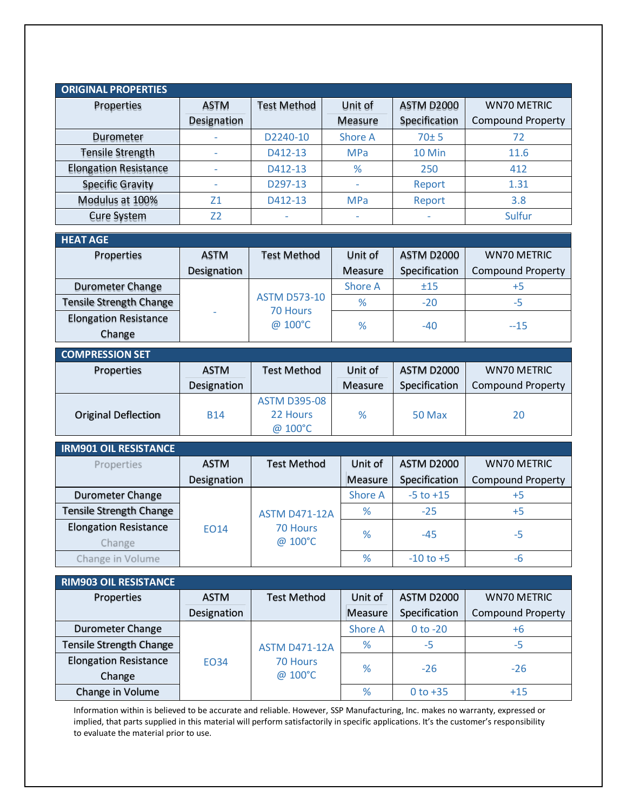| <b>ORIGINAL PROPERTIES</b>   |                |                    |                |               |                          |
|------------------------------|----------------|--------------------|----------------|---------------|--------------------------|
| Properties                   | <b>ASTM</b>    | <b>Test Method</b> | Unit of        | ASTM D2000    | <b>WN70 METRIC</b>       |
|                              | Designation    |                    | Measure        | Specification | <b>Compound Property</b> |
| Durometer                    |                | D2240-10           | <b>Shore A</b> | 70±5          | 72                       |
| <b>Tensile Strength</b>      |                | D412-13            | <b>MPa</b>     | 10 Min        | 11.6                     |
| <b>Elongation Resistance</b> |                | D412-13            | %              | 250           | 412                      |
| <b>Specific Gravity</b>      |                | D297-13            |                | Report        | 1.31                     |
| Modulus at 100%              | 71             | D412-13            | <b>MPa</b>     | Report        | 3.8                      |
| <b>Cure System</b>           | Z <sub>2</sub> | ۰                  |                | ۰             | Sulfur                   |

| <b>HEAT AGE</b>                |             |                                     |         |               |                          |
|--------------------------------|-------------|-------------------------------------|---------|---------------|--------------------------|
| Properties                     | ASTM        | <b>Test Method</b>                  | Unit of | ASTM D2000    | <b>WN70 METRIC</b>       |
|                                | Designation |                                     | Measure | Specification | <b>Compound Property</b> |
| <b>Durometer Change</b>        |             | Shore A<br><b>ASTM D573-10</b><br>% |         | ±15           | $+5$                     |
| <b>Tensile Strength Change</b> |             |                                     | $-20$   | -5            |                          |
| <b>Elongation Resistance</b>   |             | 70 Hours<br>@ 100°C                 | %       |               |                          |
| Change                         |             |                                     |         | $-40$         | $-15$                    |

| COMPRESSION SET            |             |                                            |         |                   |                          |
|----------------------------|-------------|--------------------------------------------|---------|-------------------|--------------------------|
| <b>Properties</b>          | <b>ASTM</b> | <b>Test Method</b>                         | Unit of | <b>ASTM D2000</b> | <b>WN70 METRIC</b>       |
|                            | Designation |                                            | Measure | Specification     | <b>Compound Property</b> |
| <b>Original Deflection</b> | <b>B14</b>  | <b>ASTM D395-08</b><br>22 Hours<br>@ 100°C | %       | 50 Max            | 20                       |

| <b>IRM901 OIL RESISTANCE</b>   |                    |                      |                |                   |                          |
|--------------------------------|--------------------|----------------------|----------------|-------------------|--------------------------|
| Properties                     | <b>ASTM</b>        | <b>Test Method</b>   | Unit of        | <b>ASTM D2000</b> | <b>WN70 METRIC</b>       |
|                                | <b>Designation</b> |                      | Measure        | Specification     | <b>Compound Property</b> |
| <b>Durometer Change</b>        |                    |                      | <b>Shore A</b> | $-5$ to $+15$     | $+5$                     |
| <b>Tensile Strength Change</b> |                    | <b>ASTM D471-12A</b> | %              | $-25$             | $+5$                     |
| <b>Elongation Resistance</b>   | <b>EO14</b>        | 70 Hours             | %              | $-45$             | -5                       |
| Change                         |                    | @ 100°C              |                |                   |                          |
| Change in Volume               |                    |                      | %              | $-10$ to $+5$     | -b                       |

| RIM903 OIL RESISTANCE        |             |                      |               |                   |                          |
|------------------------------|-------------|----------------------|---------------|-------------------|--------------------------|
| Properties                   | <b>ASTM</b> | <b>Test Method</b>   | Unit of       | <b>ASTM D2000</b> | <b>WN70 METRIC</b>       |
|                              | Designation |                      | Measure       | Specification     | <b>Compound Property</b> |
| <b>Durometer Change</b>      |             |                      | Shore A       | $0$ to $-20$      | +6                       |
| Tensile Strength Change      |             | <b>ASTM D471-12A</b> | %             | -5                | -5                       |
| <b>Elongation Resistance</b> | <b>EO34</b> | 70 Hours             | $\frac{9}{6}$ | $-26$             | $-26$                    |
| Change                       |             | @ 100°C              |               |                   |                          |
| Change in Volume             |             |                      | %             | 0 to $+35$        | $+15$                    |

Information within is believed to be accurate and reliable. However, SSP Manufacturing, Inc. makes no warranty, expressed or implied, that parts supplied in this material will perform satisfactorily in specific applications. It's the customer's responsibility to evaluate the material prior to use.